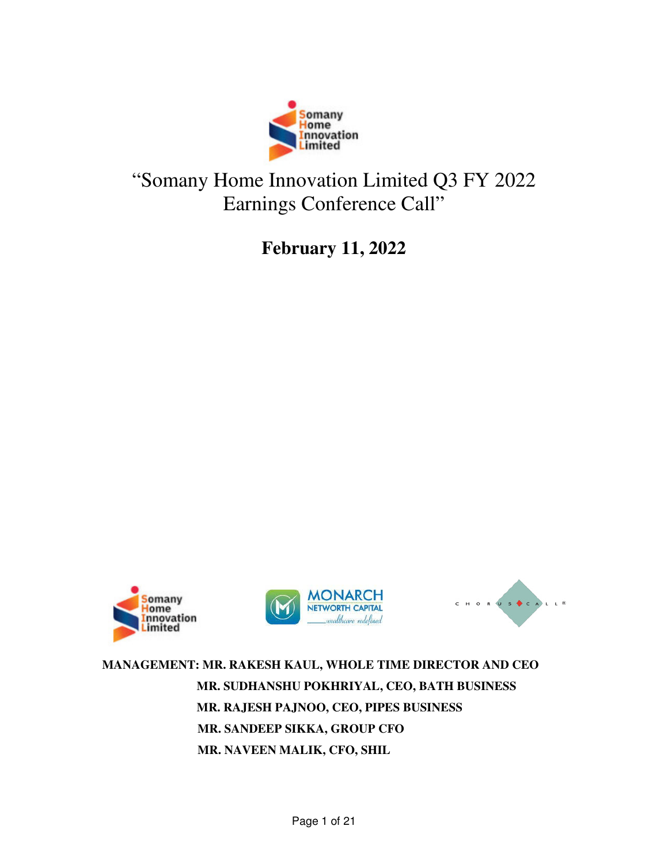

## "Somany Home Innovation Limited Q3 FY 2022 Earnings Conference Call"

**February 11, 2022** 







**MANAGEMENT: MR. RAKESH KAUL, WHOLE TIME DIRECTOR AND CEO MR. SUDHANSHU POKHRIYAL, CEO, BATH BUSINESS MR. RAJESH PAJNOO, CEO, PIPES BUSINESS MR. SANDEEP SIKKA, GROUP CFO MR. NAVEEN MALIK, CFO, SHIL**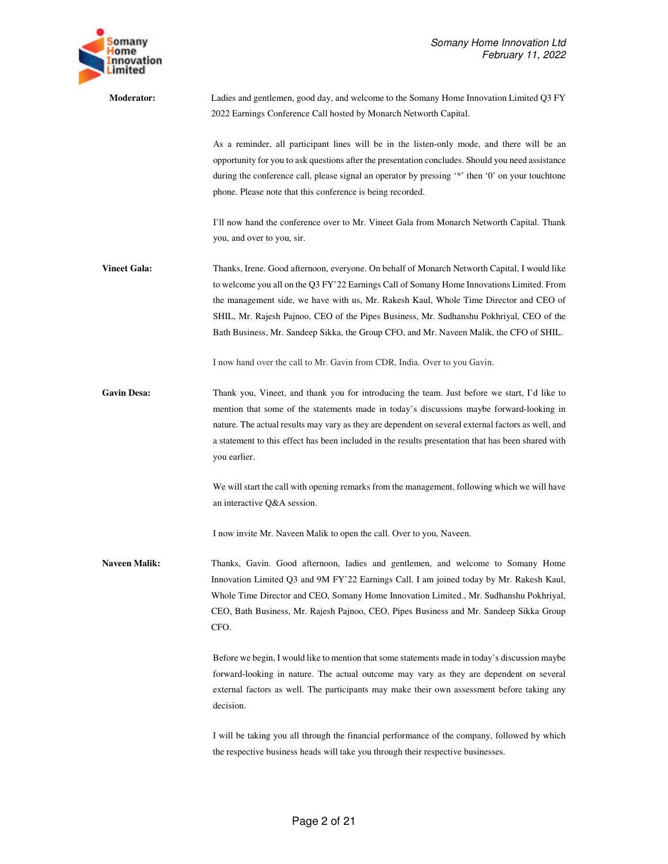

**Moderator:** Ladies and gentlemen, good day, and welcome to the Somany Home Innovation Limited Q3 FY 2022 Earnings Conference Call hosted by Monarch Networth Capital. As a reminder, all participant lines will be in the listen-only mode, and there will be an opportunity for you to ask questions after the presentation concludes. Should you need assistance during the conference call, please signal an operator by pressing '\*' then '0' on your touchtone phone. Please note that this conference is being recorded. I'll now hand the conference over to Mr. Vineet Gala from Monarch Networth Capital. Thank you, and over to you, sir. **Vineet Gala:** Thanks, Irene. Good afternoon, everyone. On behalf of Monarch Networth Capital, I would like to welcome you all on the Q3 FY'22 Earnings Call of Somany Home Innovations Limited. From the management side, we have with us, Mr. Rakesh Kaul, Whole Time Director and CEO of SHIL, Mr. Rajesh Pajnoo, CEO of the Pipes Business, Mr. Sudhanshu Pokhriyal, CEO of the Bath Business, Mr. Sandeep Sikka, the Group CFO, and Mr. Naveen Malik, the CFO of SHIL. I now hand over the call to Mr. Gavin from CDR, India. Over to you Gavin. Gavin Desa: Thank you, Vineet, and thank you for introducing the team. Just before we start, I'd like to mention that some of the statements made in today's discussions maybe forward-looking in nature. The actual results may vary as they are dependent on several external factors as well, and a statement to this effect has been included in the results presentation that has been shared with you earlier. We will start the call with opening remarks from the management, following which we will have an interactive Q&A session. I now invite Mr. Naveen Malik to open the call. Over to you, Naveen. **Naveen Malik:** Thanks, Gavin. Good afternoon, ladies and gentlemen, and welcome to Somany Home Innovation Limited Q3 and 9M FY'22 Earnings Call. I am joined today by Mr. Rakesh Kaul, Whole Time Director and CEO, Somany Home Innovation Limited., Mr. Sudhanshu Pokhriyal, CEO, Bath Business, Mr. Rajesh Pajnoo, CEO, Pipes Business and Mr. Sandeep Sikka Group CFO. Before we begin, I would like to mention that some statements made in today's discussion maybe forward-looking in nature. The actual outcome may vary as they are dependent on several external factors as well. The participants may make their own assessment before taking any decision. I will be taking you all through the financial performance of the company, followed by which

the respective business heads will take you through their respective businesses.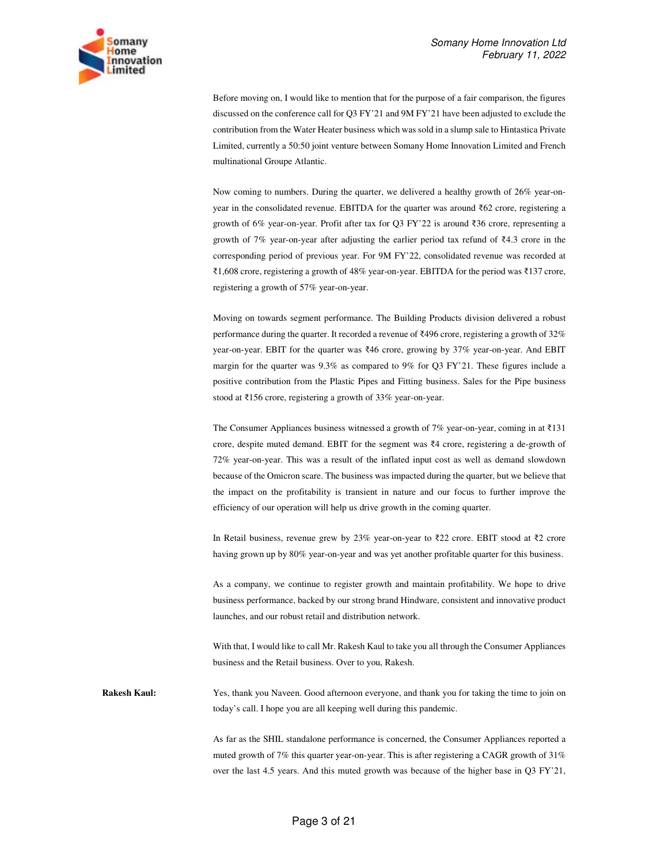

Before moving on, I would like to mention that for the purpose of a fair comparison, the figures discussed on the conference call for Q3 FY'21 and 9M FY'21 have been adjusted to exclude the contribution from the Water Heater business which was sold in a slump sale to Hintastica Private Limited, currently a 50:50 joint venture between Somany Home Innovation Limited and French multinational Groupe Atlantic.

Now coming to numbers. During the quarter, we delivered a healthy growth of 26% year-onyear in the consolidated revenue. EBITDA for the quarter was around ₹62 crore, registering a growth of 6% year-on-year. Profit after tax for Q3 FY'22 is around ₹36 crore, representing a growth of 7% year-on-year after adjusting the earlier period tax refund of ₹4.3 crore in the corresponding period of previous year. For 9M FY'22, consolidated revenue was recorded at ₹1,608 crore, registering a growth of 48% year-on-year. EBITDA for the period was ₹137 crore, registering a growth of 57% year-on-year.

Moving on towards segment performance. The Building Products division delivered a robust performance during the quarter. It recorded a revenue of ₹496 crore, registering a growth of 32% year-on-year. EBIT for the quarter was ₹46 crore, growing by 37% year-on-year. And EBIT margin for the quarter was 9.3% as compared to 9% for Q3 FY'21. These figures include a positive contribution from the Plastic Pipes and Fitting business. Sales for the Pipe business stood at ₹156 crore, registering a growth of 33% year-on-year.

The Consumer Appliances business witnessed a growth of 7% year-on-year, coming in at  $\overline{\tau}$ 131 crore, despite muted demand. EBIT for the segment was ₹4 crore, registering a de-growth of 72% year-on-year. This was a result of the inflated input cost as well as demand slowdown because of the Omicron scare. The business was impacted during the quarter, but we believe that the impact on the profitability is transient in nature and our focus to further improve the efficiency of our operation will help us drive growth in the coming quarter.

In Retail business, revenue grew by 23% year-on-year to ₹22 crore. EBIT stood at ₹2 crore having grown up by 80% year-on-year and was yet another profitable quarter for this business.

As a company, we continue to register growth and maintain profitability. We hope to drive business performance, backed by our strong brand Hindware, consistent and innovative product launches, and our robust retail and distribution network.

With that, I would like to call Mr. Rakesh Kaul to take you all through the Consumer Appliances business and the Retail business. Over to you, Rakesh.

**Rakesh Kaul:** Yes, thank you Naveen. Good afternoon everyone, and thank you for taking the time to join on today's call. I hope you are all keeping well during this pandemic.

> As far as the SHIL standalone performance is concerned, the Consumer Appliances reported a muted growth of 7% this quarter year-on-year. This is after registering a CAGR growth of 31% over the last 4.5 years. And this muted growth was because of the higher base in Q3 FY'21,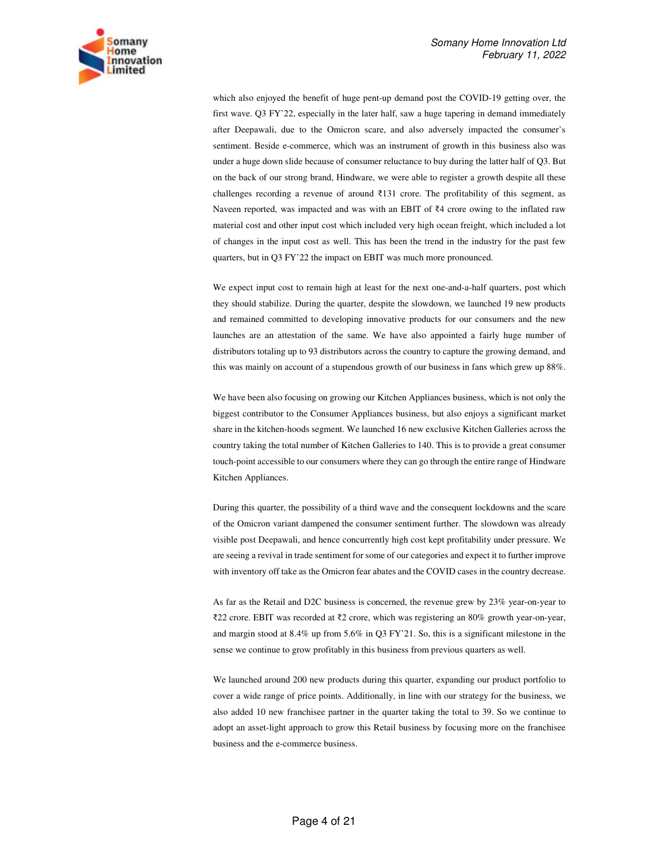

which also enjoyed the benefit of huge pent-up demand post the COVID-19 getting over, the first wave. Q3 FY'22, especially in the later half, saw a huge tapering in demand immediately after Deepawali, due to the Omicron scare, and also adversely impacted the consumer's sentiment. Beside e-commerce, which was an instrument of growth in this business also was under a huge down slide because of consumer reluctance to buy during the latter half of Q3. But on the back of our strong brand, Hindware, we were able to register a growth despite all these challenges recording a revenue of around ₹131 crore. The profitability of this segment, as Naveen reported, was impacted and was with an EBIT of ₹4 crore owing to the inflated raw material cost and other input cost which included very high ocean freight, which included a lot of changes in the input cost as well. This has been the trend in the industry for the past few quarters, but in Q3 FY'22 the impact on EBIT was much more pronounced.

We expect input cost to remain high at least for the next one-and-a-half quarters, post which they should stabilize. During the quarter, despite the slowdown, we launched 19 new products and remained committed to developing innovative products for our consumers and the new launches are an attestation of the same. We have also appointed a fairly huge number of distributors totaling up to 93 distributors across the country to capture the growing demand, and this was mainly on account of a stupendous growth of our business in fans which grew up 88%.

We have been also focusing on growing our Kitchen Appliances business, which is not only the biggest contributor to the Consumer Appliances business, but also enjoys a significant market share in the kitchen-hoods segment. We launched 16 new exclusive Kitchen Galleries across the country taking the total number of Kitchen Galleries to 140. This is to provide a great consumer touch-point accessible to our consumers where they can go through the entire range of Hindware Kitchen Appliances.

During this quarter, the possibility of a third wave and the consequent lockdowns and the scare of the Omicron variant dampened the consumer sentiment further. The slowdown was already visible post Deepawali, and hence concurrently high cost kept profitability under pressure. We are seeing a revival in trade sentiment for some of our categories and expect it to further improve with inventory off take as the Omicron fear abates and the COVID cases in the country decrease.

As far as the Retail and D2C business is concerned, the revenue grew by 23% year-on-year to ₹22 crore. EBIT was recorded at ₹2 crore, which was registering an 80% growth year-on-year, and margin stood at 8.4% up from 5.6% in Q3 FY'21. So, this is a significant milestone in the sense we continue to grow profitably in this business from previous quarters as well.

We launched around 200 new products during this quarter, expanding our product portfolio to cover a wide range of price points. Additionally, in line with our strategy for the business, we also added 10 new franchisee partner in the quarter taking the total to 39. So we continue to adopt an asset-light approach to grow this Retail business by focusing more on the franchisee business and the e-commerce business.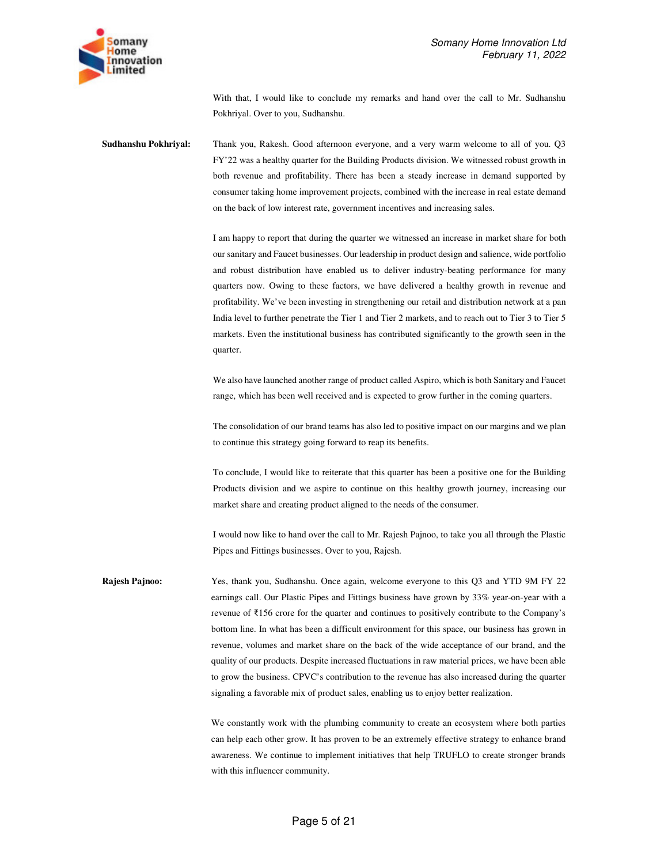

With that, I would like to conclude my remarks and hand over the call to Mr. Sudhanshu Pokhriyal. Over to you, Sudhanshu.

**Sudhanshu Pokhriyal:** Thank you, Rakesh. Good afternoon everyone, and a very warm welcome to all of you. Q3 FY'22 was a healthy quarter for the Building Products division. We witnessed robust growth in both revenue and profitability. There has been a steady increase in demand supported by consumer taking home improvement projects, combined with the increase in real estate demand on the back of low interest rate, government incentives and increasing sales.

> I am happy to report that during the quarter we witnessed an increase in market share for both our sanitary and Faucet businesses. Our leadership in product design and salience, wide portfolio and robust distribution have enabled us to deliver industry-beating performance for many quarters now. Owing to these factors, we have delivered a healthy growth in revenue and profitability. We've been investing in strengthening our retail and distribution network at a pan India level to further penetrate the Tier 1 and Tier 2 markets, and to reach out to Tier 3 to Tier 5 markets. Even the institutional business has contributed significantly to the growth seen in the quarter.

> We also have launched another range of product called Aspiro, which is both Sanitary and Faucet range, which has been well received and is expected to grow further in the coming quarters.

> The consolidation of our brand teams has also led to positive impact on our margins and we plan to continue this strategy going forward to reap its benefits.

> To conclude, I would like to reiterate that this quarter has been a positive one for the Building Products division and we aspire to continue on this healthy growth journey, increasing our market share and creating product aligned to the needs of the consumer.

> I would now like to hand over the call to Mr. Rajesh Pajnoo, to take you all through the Plastic Pipes and Fittings businesses. Over to you, Rajesh.

**Rajesh Pajnoo:** Yes, thank you, Sudhanshu. Once again, welcome everyone to this Q3 and YTD 9M FY 22 earnings call. Our Plastic Pipes and Fittings business have grown by 33% year-on-year with a revenue of ₹156 crore for the quarter and continues to positively contribute to the Company's bottom line. In what has been a difficult environment for this space, our business has grown in revenue, volumes and market share on the back of the wide acceptance of our brand, and the quality of our products. Despite increased fluctuations in raw material prices, we have been able to grow the business. CPVC's contribution to the revenue has also increased during the quarter signaling a favorable mix of product sales, enabling us to enjoy better realization.

> We constantly work with the plumbing community to create an ecosystem where both parties can help each other grow. It has proven to be an extremely effective strategy to enhance brand awareness. We continue to implement initiatives that help TRUFLO to create stronger brands with this influencer community.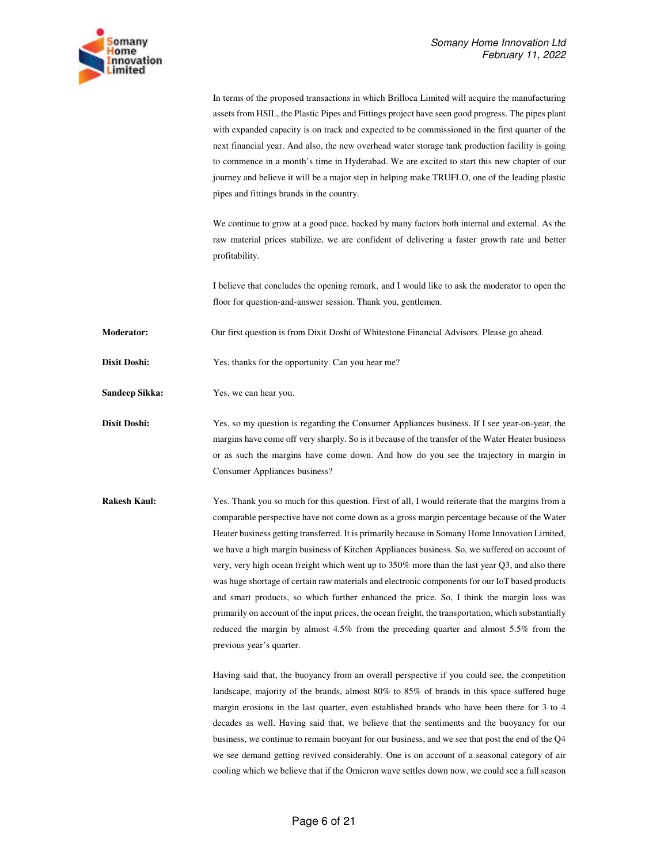

In terms of the proposed transactions in which Brilloca Limited will acquire the manufacturing assets from HSIL, the Plastic Pipes and Fittings project have seen good progress. The pipes plant with expanded capacity is on track and expected to be commissioned in the first quarter of the next financial year. And also, the new overhead water storage tank production facility is going to commence in a month's time in Hyderabad. We are excited to start this new chapter of our journey and believe it will be a major step in helping make TRUFLO, one of the leading plastic pipes and fittings brands in the country.

We continue to grow at a good pace, backed by many factors both internal and external. As the raw material prices stabilize, we are confident of delivering a faster growth rate and better profitability.

I believe that concludes the opening remark, and I would like to ask the moderator to open the floor for question-and-answer session. Thank you, gentlemen.

**Moderator:** Our first question is from Dixit Doshi of Whitestone Financial Advisors. Please go ahead.

**Dixit Doshi:** Yes, thanks for the opportunity. Can you hear me?

**Sandeep Sikka:** Yes, we can hear you.

**Dixit Doshi:** Yes, so my question is regarding the Consumer Appliances business. If I see year-on-year, the margins have come off very sharply. So is it because of the transfer of the Water Heater business or as such the margins have come down. And how do you see the trajectory in margin in Consumer Appliances business?

**Rakesh Kaul:** Yes. Thank you so much for this question. First of all, I would reiterate that the margins from a comparable perspective have not come down as a gross margin percentage because of the Water Heater business getting transferred. It is primarily because in Somany Home Innovation Limited, we have a high margin business of Kitchen Appliances business. So, we suffered on account of very, very high ocean freight which went up to 350% more than the last year Q3, and also there was huge shortage of certain raw materials and electronic components for our IoT based products and smart products, so which further enhanced the price. So, I think the margin loss was primarily on account of the input prices, the ocean freight, the transportation, which substantially reduced the margin by almost 4.5% from the preceding quarter and almost 5.5% from the previous year's quarter.

> Having said that, the buoyancy from an overall perspective if you could see, the competition landscape, majority of the brands, almost 80% to 85% of brands in this space suffered huge margin erosions in the last quarter, even established brands who have been there for 3 to 4 decades as well. Having said that, we believe that the sentiments and the buoyancy for our business, we continue to remain buoyant for our business, and we see that post the end of the Q4 we see demand getting revived considerably. One is on account of a seasonal category of air cooling which we believe that if the Omicron wave settles down now, we could see a full season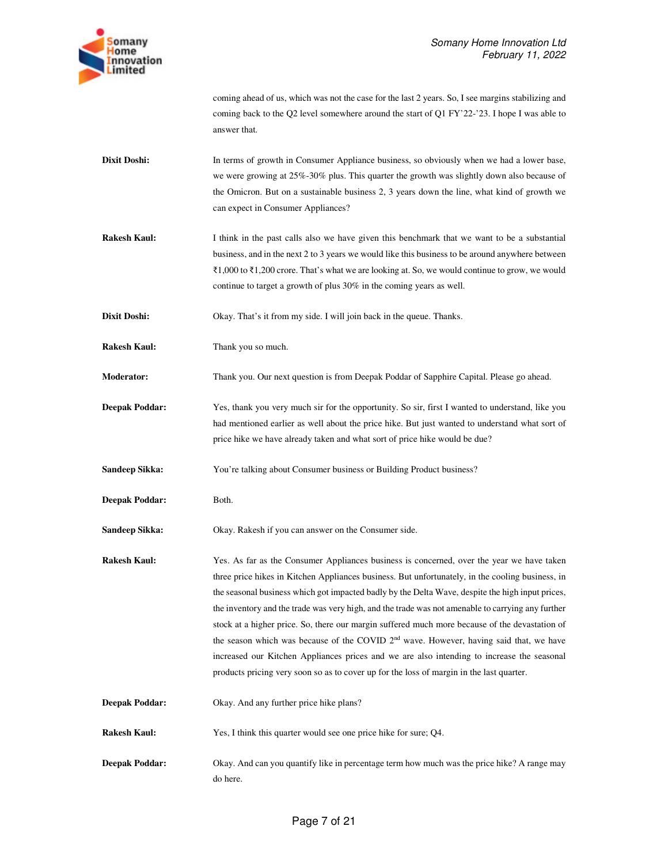

|                       | coming ahead of us, which was not the case for the last 2 years. So, I see margins stabilizing and<br>coming back to the Q2 level somewhere around the start of Q1 FY'22-'23. I hope I was able to<br>answer that.                                                                                                                                                                                                                                                                                                                                                                                                                                                                                                                                                                                       |
|-----------------------|----------------------------------------------------------------------------------------------------------------------------------------------------------------------------------------------------------------------------------------------------------------------------------------------------------------------------------------------------------------------------------------------------------------------------------------------------------------------------------------------------------------------------------------------------------------------------------------------------------------------------------------------------------------------------------------------------------------------------------------------------------------------------------------------------------|
| Dixit Doshi:          | In terms of growth in Consumer Appliance business, so obviously when we had a lower base,<br>we were growing at 25%-30% plus. This quarter the growth was slightly down also because of<br>the Omicron. But on a sustainable business 2, 3 years down the line, what kind of growth we<br>can expect in Consumer Appliances?                                                                                                                                                                                                                                                                                                                                                                                                                                                                             |
| <b>Rakesh Kaul:</b>   | I think in the past calls also we have given this benchmark that we want to be a substantial<br>business, and in the next 2 to 3 years we would like this business to be around anywhere between<br>$\bar{\xi}$ 1,000 to $\bar{\xi}$ 1,200 crore. That's what we are looking at. So, we would continue to grow, we would<br>continue to target a growth of plus 30% in the coming years as well.                                                                                                                                                                                                                                                                                                                                                                                                         |
| Dixit Doshi:          | Okay. That's it from my side. I will join back in the queue. Thanks.                                                                                                                                                                                                                                                                                                                                                                                                                                                                                                                                                                                                                                                                                                                                     |
| Rakesh Kaul:          | Thank you so much.                                                                                                                                                                                                                                                                                                                                                                                                                                                                                                                                                                                                                                                                                                                                                                                       |
| Moderator:            | Thank you. Our next question is from Deepak Poddar of Sapphire Capital. Please go ahead.                                                                                                                                                                                                                                                                                                                                                                                                                                                                                                                                                                                                                                                                                                                 |
| <b>Deepak Poddar:</b> | Yes, thank you very much sir for the opportunity. So sir, first I wanted to understand, like you<br>had mentioned earlier as well about the price hike. But just wanted to understand what sort of<br>price hike we have already taken and what sort of price hike would be due?                                                                                                                                                                                                                                                                                                                                                                                                                                                                                                                         |
| <b>Sandeep Sikka:</b> | You're talking about Consumer business or Building Product business?                                                                                                                                                                                                                                                                                                                                                                                                                                                                                                                                                                                                                                                                                                                                     |
| <b>Deepak Poddar:</b> | Both.                                                                                                                                                                                                                                                                                                                                                                                                                                                                                                                                                                                                                                                                                                                                                                                                    |
| <b>Sandeep Sikka:</b> | Okay. Rakesh if you can answer on the Consumer side.                                                                                                                                                                                                                                                                                                                                                                                                                                                                                                                                                                                                                                                                                                                                                     |
| <b>Rakesh Kaul:</b>   | Yes. As far as the Consumer Appliances business is concerned, over the year we have taken<br>three price hikes in Kitchen Appliances business. But unfortunately, in the cooling business, in<br>the seasonal business which got impacted badly by the Delta Wave, despite the high input prices,<br>the inventory and the trade was very high, and the trade was not amenable to carrying any further<br>stock at a higher price. So, there our margin suffered much more because of the devastation of<br>the season which was because of the COVID 2 <sup>nd</sup> wave. However, having said that, we have<br>increased our Kitchen Appliances prices and we are also intending to increase the seasonal<br>products pricing very soon so as to cover up for the loss of margin in the last quarter. |
| <b>Deepak Poddar:</b> | Okay. And any further price hike plans?                                                                                                                                                                                                                                                                                                                                                                                                                                                                                                                                                                                                                                                                                                                                                                  |
| <b>Rakesh Kaul:</b>   | Yes, I think this quarter would see one price hike for sure; Q4.                                                                                                                                                                                                                                                                                                                                                                                                                                                                                                                                                                                                                                                                                                                                         |
| <b>Deepak Poddar:</b> | Okay. And can you quantify like in percentage term how much was the price hike? A range may<br>do here.                                                                                                                                                                                                                                                                                                                                                                                                                                                                                                                                                                                                                                                                                                  |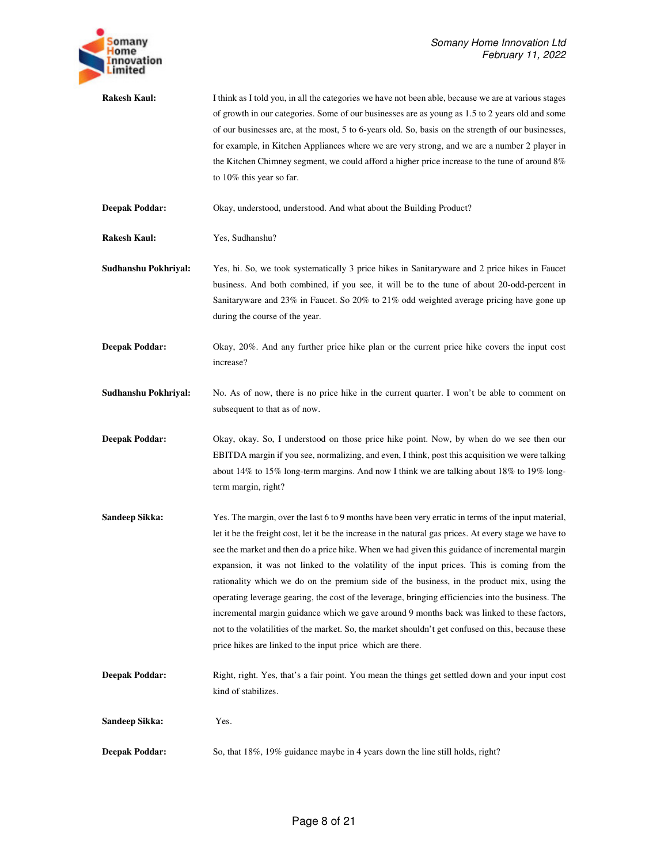

**Rakesh Kaul:** I think as I told you, in all the categories we have not been able, because we are at various stages of growth in our categories. Some of our businesses are as young as 1.5 to 2 years old and some of our businesses are, at the most, 5 to 6-years old. So, basis on the strength of our businesses, for example, in Kitchen Appliances where we are very strong, and we are a number 2 player in the Kitchen Chimney segment, we could afford a higher price increase to the tune of around 8% to 10% this year so far.

**Deepak Poddar:** Okay, understood, understood. And what about the Building Product?

**Rakesh Kaul:** Yes, Sudhanshu?

**Sudhanshu Pokhriyal:** Yes, hi. So, we took systematically 3 price hikes in Sanitaryware and 2 price hikes in Faucet business. And both combined, if you see, it will be to the tune of about 20-odd-percent in Sanitaryware and 23% in Faucet. So 20% to 21% odd weighted average pricing have gone up during the course of the year.

**Deepak Poddar:** Okay, 20%. And any further price hike plan or the current price hike covers the input cost increase?

**Sudhanshu Pokhriyal:** No. As of now, there is no price hike in the current quarter. I won't be able to comment on subsequent to that as of now.

**Deepak Poddar:** Okay, okay. So, I understood on those price hike point. Now, by when do we see then our EBITDA margin if you see, normalizing, and even, I think, post this acquisition we were talking about 14% to 15% long-term margins. And now I think we are talking about 18% to 19% longterm margin, right?

- **Sandeep Sikka:** Yes. The margin, over the last 6 to 9 months have been very erratic in terms of the input material, let it be the freight cost, let it be the increase in the natural gas prices. At every stage we have to see the market and then do a price hike. When we had given this guidance of incremental margin expansion, it was not linked to the volatility of the input prices. This is coming from the rationality which we do on the premium side of the business, in the product mix, using the operating leverage gearing, the cost of the leverage, bringing efficiencies into the business. The incremental margin guidance which we gave around 9 months back was linked to these factors, not to the volatilities of the market. So, the market shouldn't get confused on this, because these price hikes are linked to the input price which are there.
- **Deepak Poddar:** Right, right. Yes, that's a fair point. You mean the things get settled down and your input cost kind of stabilizes.

**Sandeep Sikka:** Yes.

**Deepak Poddar:** So, that  $18\%$ ,  $19\%$  guidance maybe in 4 years down the line still holds, right?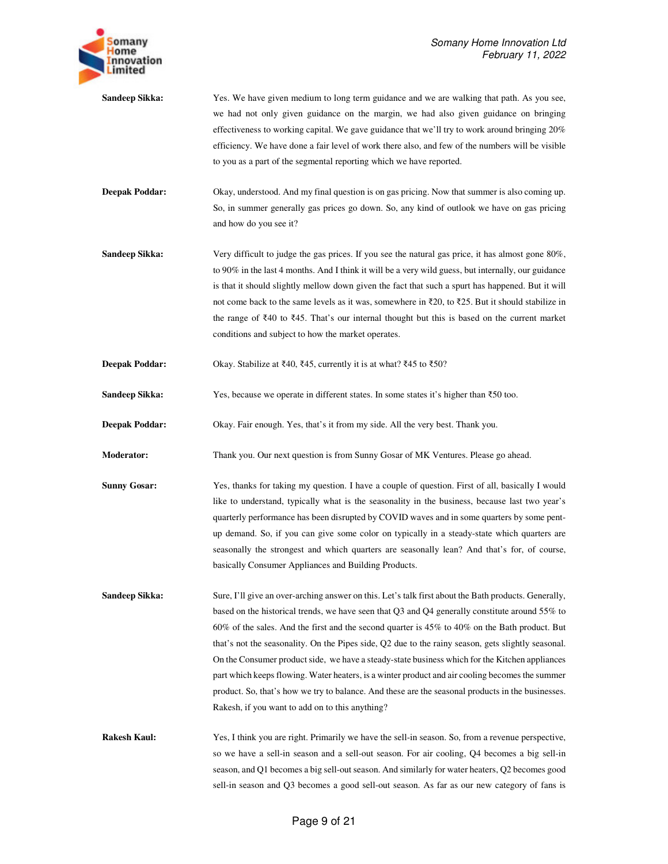

**Sandeep Sikka:** Yes. We have given medium to long term guidance and we are walking that path. As you see, we had not only given guidance on the margin, we had also given guidance on bringing effectiveness to working capital. We gave guidance that we'll try to work around bringing 20% efficiency. We have done a fair level of work there also, and few of the numbers will be visible to you as a part of the segmental reporting which we have reported.

**Deepak Poddar:** Okay, understood. And my final question is on gas pricing. Now that summer is also coming up. So, in summer generally gas prices go down. So, any kind of outlook we have on gas pricing and how do you see it?

**Sandeep Sikka:** Very difficult to judge the gas prices. If you see the natural gas price, it has almost gone 80%, to 90% in the last 4 months. And I think it will be a very wild guess, but internally, our guidance is that it should slightly mellow down given the fact that such a spurt has happened. But it will not come back to the same levels as it was, somewhere in ₹20, to ₹25. But it should stabilize in the range of ₹40 to ₹45. That's our internal thought but this is based on the current market conditions and subject to how the market operates.

Deepak Poddar: Okay. Stabilize at ₹40, ₹45, currently it is at what? ₹45 to ₹50?

Sandeep Sikka: Yes, because we operate in different states. In some states it's higher than ₹50 too.

**Deepak Poddar:** Okay. Fair enough. Yes, that's it from my side. All the very best. Thank you.

**Moderator:** Thank you. Our next question is from Sunny Gosar of MK Ventures. Please go ahead.

**Sunny Gosar:** Yes, thanks for taking my question. I have a couple of question. First of all, basically I would like to understand, typically what is the seasonality in the business, because last two year's quarterly performance has been disrupted by COVID waves and in some quarters by some pentup demand. So, if you can give some color on typically in a steady-state which quarters are seasonally the strongest and which quarters are seasonally lean? And that's for, of course, basically Consumer Appliances and Building Products.

**Sandeep Sikka:** Sure, I'll give an over-arching answer on this. Let's talk first about the Bath products. Generally, based on the historical trends, we have seen that Q3 and Q4 generally constitute around 55% to 60% of the sales. And the first and the second quarter is 45% to 40% on the Bath product. But that's not the seasonality. On the Pipes side, Q2 due to the rainy season, gets slightly seasonal. On the Consumer product side, we have a steady-state business which for the Kitchen appliances part which keeps flowing. Water heaters, is a winter product and air cooling becomes the summer product. So, that's how we try to balance. And these are the seasonal products in the businesses. Rakesh, if you want to add on to this anything?

**Rakesh Kaul:** Yes, I think you are right. Primarily we have the sell-in season. So, from a revenue perspective, so we have a sell-in season and a sell-out season. For air cooling, Q4 becomes a big sell-in season, and Q1 becomes a big sell-out season. And similarly for water heaters, Q2 becomes good sell-in season and Q3 becomes a good sell-out season. As far as our new category of fans is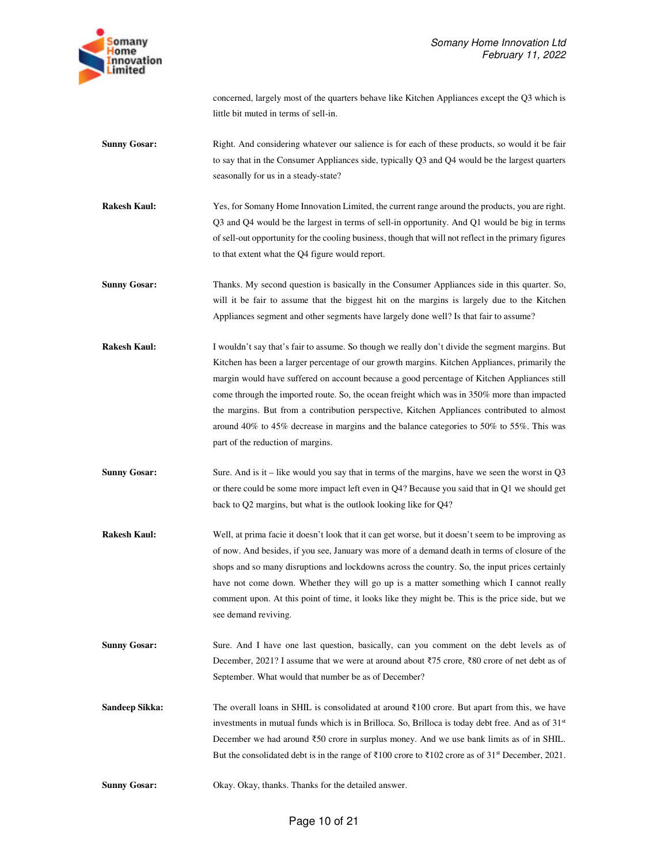

concerned, largely most of the quarters behave like Kitchen Appliances except the Q3 which is little bit muted in terms of sell-in.

- **Sunny Gosar:** Right. And considering whatever our salience is for each of these products, so would it be fair to say that in the Consumer Appliances side, typically Q3 and Q4 would be the largest quarters seasonally for us in a steady-state?
- **Rakesh Kaul:** Yes, for Somany Home Innovation Limited, the current range around the products, you are right. Q3 and Q4 would be the largest in terms of sell-in opportunity. And Q1 would be big in terms of sell-out opportunity for the cooling business, though that will not reflect in the primary figures to that extent what the Q4 figure would report.
- **Sunny Gosar:** Thanks. My second question is basically in the Consumer Appliances side in this quarter. So, will it be fair to assume that the biggest hit on the margins is largely due to the Kitchen Appliances segment and other segments have largely done well? Is that fair to assume?
- **Rakesh Kaul:** I wouldn't say that's fair to assume. So though we really don't divide the segment margins. But Kitchen has been a larger percentage of our growth margins. Kitchen Appliances, primarily the margin would have suffered on account because a good percentage of Kitchen Appliances still come through the imported route. So, the ocean freight which was in 350% more than impacted the margins. But from a contribution perspective, Kitchen Appliances contributed to almost around 40% to 45% decrease in margins and the balance categories to 50% to 55%. This was part of the reduction of margins.
- **Sunny Gosar:** Sure. And is it like would you say that in terms of the margins, have we seen the worst in Q3 or there could be some more impact left even in Q4? Because you said that in Q1 we should get back to Q2 margins, but what is the outlook looking like for Q4?
- **Rakesh Kaul:** Well, at prima facie it doesn't look that it can get worse, but it doesn't seem to be improving as of now. And besides, if you see, January was more of a demand death in terms of closure of the shops and so many disruptions and lockdowns across the country. So, the input prices certainly have not come down. Whether they will go up is a matter something which I cannot really comment upon. At this point of time, it looks like they might be. This is the price side, but we see demand reviving.
- **Sunny Gosar:** Sure. And I have one last question, basically, can you comment on the debt levels as of December, 2021? I assume that we were at around about ₹75 crore, ₹80 crore of net debt as of September. What would that number be as of December?
- **Sandeep Sikka:** The overall loans in SHIL is consolidated at around ₹100 crore. But apart from this, we have investments in mutual funds which is in Brilloca. So, Brilloca is today debt free. And as of 31st December we had around ₹50 crore in surplus money. And we use bank limits as of in SHIL. But the consolidated debt is in the range of ₹100 crore to ₹102 crore as of 31st December, 2021.
- **Sunny Gosar:** Okay. Okay, thanks. Thanks for the detailed answer.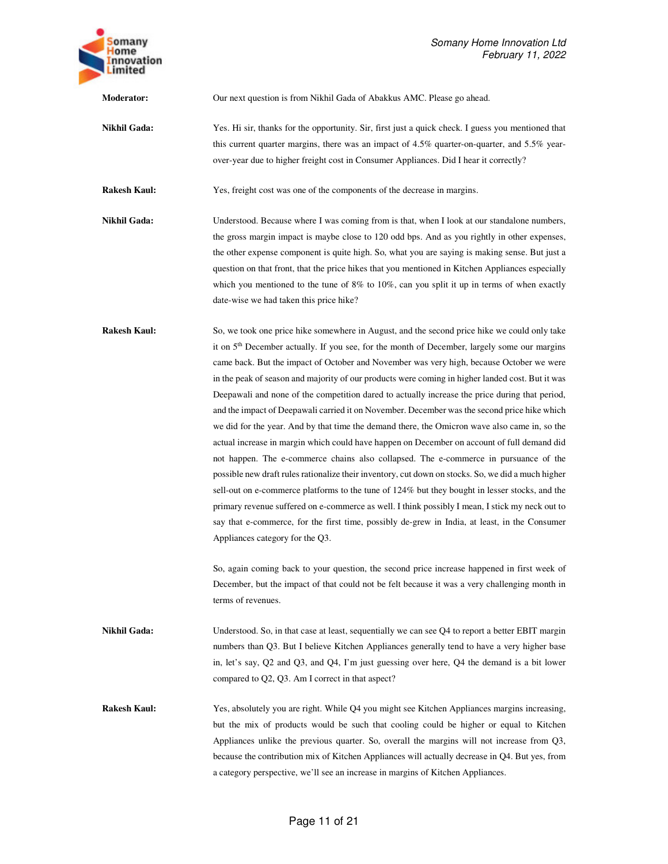

**Moderator:** Our next question is from Nikhil Gada of Abakkus AMC. Please go ahead.

**Nikhil Gada:** Yes. Hi sir, thanks for the opportunity. Sir, first just a quick check. I guess you mentioned that this current quarter margins, there was an impact of 4.5% quarter-on-quarter, and 5.5% yearover-year due to higher freight cost in Consumer Appliances. Did I hear it correctly?

**Rakesh Kaul:** Yes, freight cost was one of the components of the decrease in margins.

**Nikhil Gada:** Understood. Because where I was coming from is that, when I look at our standalone numbers, the gross margin impact is maybe close to 120 odd bps. And as you rightly in other expenses, the other expense component is quite high. So, what you are saying is making sense. But just a question on that front, that the price hikes that you mentioned in Kitchen Appliances especially which you mentioned to the tune of 8% to 10%, can you split it up in terms of when exactly date-wise we had taken this price hike?

**Rakesh Kaul:** So, we took one price hike somewhere in August, and the second price hike we could only take it on 5<sup>th</sup> December actually. If you see, for the month of December, largely some our margins came back. But the impact of October and November was very high, because October we were in the peak of season and majority of our products were coming in higher landed cost. But it was Deepawali and none of the competition dared to actually increase the price during that period, and the impact of Deepawali carried it on November. December was the second price hike which we did for the year. And by that time the demand there, the Omicron wave also came in, so the actual increase in margin which could have happen on December on account of full demand did not happen. The e-commerce chains also collapsed. The e-commerce in pursuance of the possible new draft rules rationalize their inventory, cut down on stocks. So, we did a much higher sell-out on e-commerce platforms to the tune of 124% but they bought in lesser stocks, and the primary revenue suffered on e-commerce as well. I think possibly I mean, I stick my neck out to say that e-commerce, for the first time, possibly de-grew in India, at least, in the Consumer Appliances category for the Q3.

> So, again coming back to your question, the second price increase happened in first week of December, but the impact of that could not be felt because it was a very challenging month in terms of revenues.

**Nikhil Gada:** Understood. So, in that case at least, sequentially we can see Q4 to report a better EBIT margin numbers than Q3. But I believe Kitchen Appliances generally tend to have a very higher base in, let's say, Q2 and Q3, and Q4, I'm just guessing over here, Q4 the demand is a bit lower compared to Q2, Q3. Am I correct in that aspect?

**Rakesh Kaul:** Yes, absolutely you are right. While Q4 you might see Kitchen Appliances margins increasing, but the mix of products would be such that cooling could be higher or equal to Kitchen Appliances unlike the previous quarter. So, overall the margins will not increase from Q3, because the contribution mix of Kitchen Appliances will actually decrease in Q4. But yes, from a category perspective, we'll see an increase in margins of Kitchen Appliances.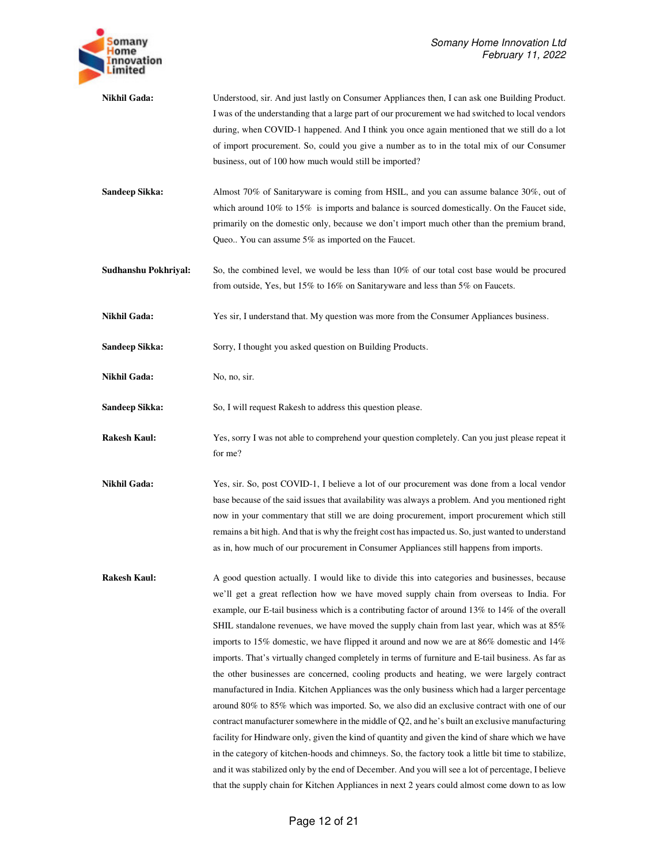

**Nikhil Gada:** Understood, sir. And just lastly on Consumer Appliances then, I can ask one Building Product. I was of the understanding that a large part of our procurement we had switched to local vendors during, when COVID-1 happened. And I think you once again mentioned that we still do a lot of import procurement. So, could you give a number as to in the total mix of our Consumer business, out of 100 how much would still be imported?

**Sandeep Sikka:** Almost 70% of Sanitaryware is coming from HSIL, and you can assume balance 30%, out of which around  $10\%$  to  $15\%$  is imports and balance is sourced domestically. On the Faucet side, primarily on the domestic only, because we don't import much other than the premium brand, Queo.. You can assume 5% as imported on the Faucet.

**Sudhanshu Pokhriyal:** So, the combined level, we would be less than 10% of our total cost base would be procured from outside, Yes, but 15% to 16% on Sanitaryware and less than 5% on Faucets.

**Nikhil Gada:** Yes sir, I understand that. My question was more from the Consumer Appliances business.

Sandeep Sikka: Sorry, I thought you asked question on Building Products.

**Nikhil Gada:** No, no, sir.

Sandeep Sikka: So, I will request Rakesh to address this question please.

**Rakesh Kaul:** Yes, sorry I was not able to comprehend your question completely. Can you just please repeat it for me?

**Nikhil Gada:** Yes, sir. So, post COVID-1, I believe a lot of our procurement was done from a local vendor base because of the said issues that availability was always a problem. And you mentioned right now in your commentary that still we are doing procurement, import procurement which still remains a bit high. And that is why the freight cost has impacted us. So, just wanted to understand as in, how much of our procurement in Consumer Appliances still happens from imports.

**Rakesh Kaul:** A good question actually. I would like to divide this into categories and businesses, because we'll get a great reflection how we have moved supply chain from overseas to India. For example, our E-tail business which is a contributing factor of around 13% to 14% of the overall SHIL standalone revenues, we have moved the supply chain from last year, which was at 85% imports to 15% domestic, we have flipped it around and now we are at 86% domestic and 14% imports. That's virtually changed completely in terms of furniture and E-tail business. As far as the other businesses are concerned, cooling products and heating, we were largely contract manufactured in India. Kitchen Appliances was the only business which had a larger percentage around 80% to 85% which was imported. So, we also did an exclusive contract with one of our contract manufacturer somewhere in the middle of Q2, and he's built an exclusive manufacturing facility for Hindware only, given the kind of quantity and given the kind of share which we have in the category of kitchen-hoods and chimneys. So, the factory took a little bit time to stabilize, and it was stabilized only by the end of December. And you will see a lot of percentage, I believe that the supply chain for Kitchen Appliances in next 2 years could almost come down to as low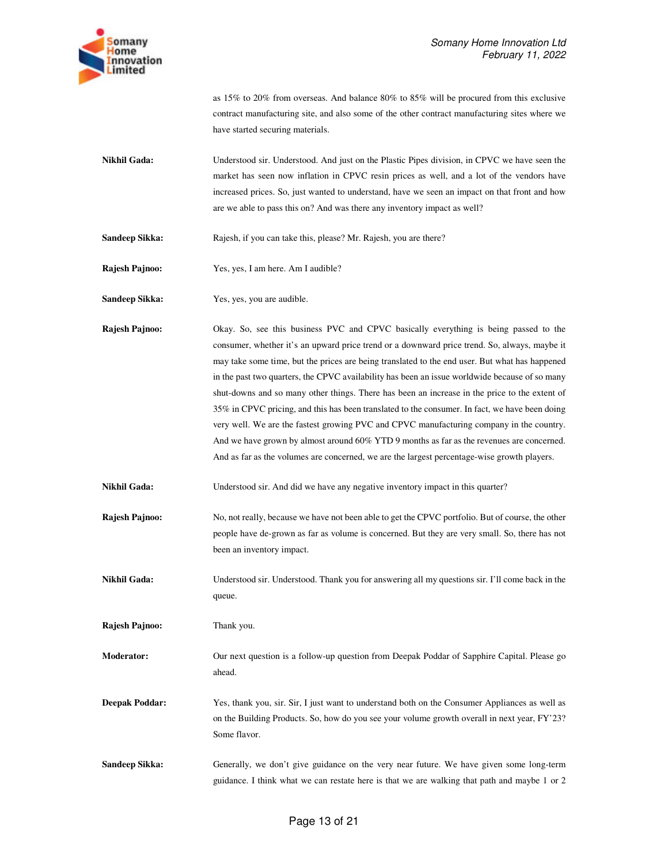as 15% to 20% from overseas. And balance 80% to 85% will be procured from this exclusive contract manufacturing site, and also some of the other contract manufacturing sites where we have started securing materials.

**Nikhil Gada:** Understood sir. Understood. And just on the Plastic Pipes division, in CPVC we have seen the market has seen now inflation in CPVC resin prices as well, and a lot of the vendors have increased prices. So, just wanted to understand, have we seen an impact on that front and how are we able to pass this on? And was there any inventory impact as well?

Sandeep Sikka: Rajesh, if you can take this, please? Mr. Rajesh, you are there?

**Rajesh Pajnoo:** Yes, yes, I am here. Am I audible?

Sandeep Sikka: Yes, yes, you are audible.

**Rajesh Pajnoo:** Okay. So, see this business PVC and CPVC basically everything is being passed to the consumer, whether it's an upward price trend or a downward price trend. So, always, maybe it may take some time, but the prices are being translated to the end user. But what has happened in the past two quarters, the CPVC availability has been an issue worldwide because of so many shut-downs and so many other things. There has been an increase in the price to the extent of 35% in CPVC pricing, and this has been translated to the consumer. In fact, we have been doing very well. We are the fastest growing PVC and CPVC manufacturing company in the country. And we have grown by almost around 60% YTD 9 months as far as the revenues are concerned. And as far as the volumes are concerned, we are the largest percentage-wise growth players.

**Nikhil Gada:** Understood sir. And did we have any negative inventory impact in this quarter?

**Rajesh Pajnoo:** No, not really, because we have not been able to get the CPVC portfolio. But of course, the other people have de-grown as far as volume is concerned. But they are very small. So, there has not been an inventory impact.

**Nikhil Gada:** Understood sir. Understood. Thank you for answering all my questions sir. I'll come back in the queue.

**Rajesh Pajnoo:** Thank you.

**Moderator:** Our next question is a follow-up question from Deepak Poddar of Sapphire Capital. Please go ahead.

**Deepak Poddar:** Yes, thank you, sir. Sir, I just want to understand both on the Consumer Appliances as well as on the Building Products. So, how do you see your volume growth overall in next year, FY'23? Some flavor.

**Sandeep Sikka:** Generally, we don't give guidance on the very near future. We have given some long-term guidance. I think what we can restate here is that we are walking that path and maybe 1 or 2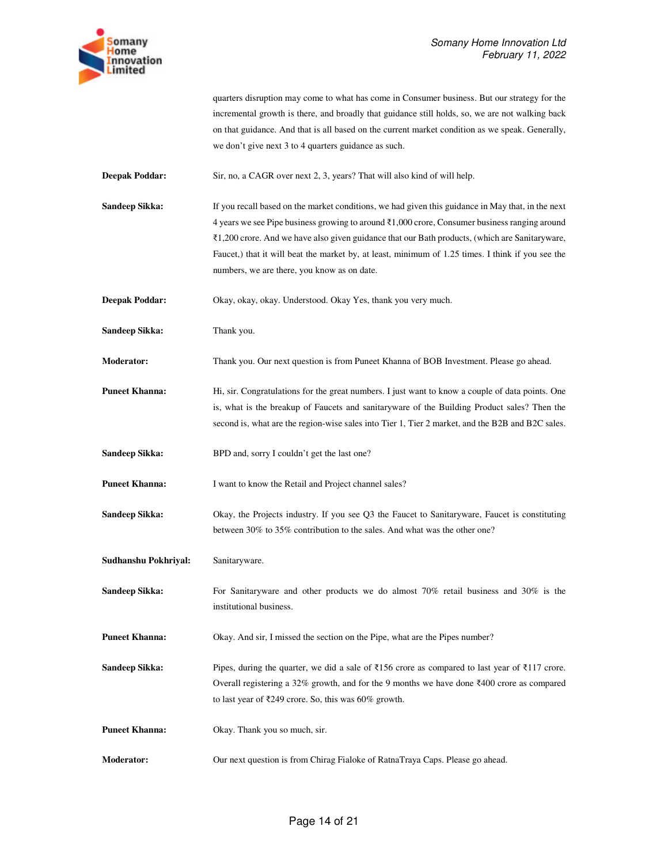

|                       | quarters disruption may come to what has come in Consumer business. But our strategy for the<br>incremental growth is there, and broadly that guidance still holds, so, we are not walking back<br>on that guidance. And that is all based on the current market condition as we speak. Generally,<br>we don't give next 3 to 4 quarters guidance as such.                                                                                                           |
|-----------------------|----------------------------------------------------------------------------------------------------------------------------------------------------------------------------------------------------------------------------------------------------------------------------------------------------------------------------------------------------------------------------------------------------------------------------------------------------------------------|
| <b>Deepak Poddar:</b> | Sir, no, a CAGR over next 2, 3, years? That will also kind of will help.                                                                                                                                                                                                                                                                                                                                                                                             |
| Sandeep Sikka:        | If you recall based on the market conditions, we had given this guidance in May that, in the next<br>4 years we see Pipe business growing to around $\bar{\ell}$ 1,000 crore, Consumer business ranging around<br>₹1,200 crore. And we have also given guidance that our Bath products, (which are Sanitaryware,<br>Faucet,) that it will beat the market by, at least, minimum of 1.25 times. I think if you see the<br>numbers, we are there, you know as on date. |
| <b>Deepak Poddar:</b> | Okay, okay, okay. Understood. Okay Yes, thank you very much.                                                                                                                                                                                                                                                                                                                                                                                                         |
| Sandeep Sikka:        | Thank you.                                                                                                                                                                                                                                                                                                                                                                                                                                                           |
| Moderator:            | Thank you. Our next question is from Puneet Khanna of BOB Investment. Please go ahead.                                                                                                                                                                                                                                                                                                                                                                               |
| <b>Puneet Khanna:</b> | Hi, sir. Congratulations for the great numbers. I just want to know a couple of data points. One<br>is, what is the breakup of Faucets and sanitaryware of the Building Product sales? Then the<br>second is, what are the region-wise sales into Tier 1, Tier 2 market, and the B2B and B2C sales.                                                                                                                                                                  |
| Sandeep Sikka:        | BPD and, sorry I couldn't get the last one?                                                                                                                                                                                                                                                                                                                                                                                                                          |
| <b>Puneet Khanna:</b> | I want to know the Retail and Project channel sales?                                                                                                                                                                                                                                                                                                                                                                                                                 |
| Sandeep Sikka:        | Okay, the Projects industry. If you see Q3 the Faucet to Sanitaryware, Faucet is constituting<br>between 30% to 35% contribution to the sales. And what was the other one?                                                                                                                                                                                                                                                                                           |
| Sudhanshu Pokhriyal:  | Sanitaryware.                                                                                                                                                                                                                                                                                                                                                                                                                                                        |
| Sandeep Sikka:        | For Sanitaryware and other products we do almost $70\%$ retail business and $30\%$ is the<br>institutional business.                                                                                                                                                                                                                                                                                                                                                 |
| <b>Puneet Khanna:</b> | Okay. And sir, I missed the section on the Pipe, what are the Pipes number?                                                                                                                                                                                                                                                                                                                                                                                          |
| Sandeep Sikka:        | Pipes, during the quarter, we did a sale of ₹156 crore as compared to last year of ₹117 crore.<br>Overall registering a 32% growth, and for the 9 months we have done $\bar{\xi}400$ crore as compared<br>to last year of $\overline{\xi}$ 249 crore. So, this was 60% growth.                                                                                                                                                                                       |
| <b>Puneet Khanna:</b> | Okay. Thank you so much, sir.                                                                                                                                                                                                                                                                                                                                                                                                                                        |
| Moderator:            | Our next question is from Chirag Fialoke of RatnaTraya Caps. Please go ahead.                                                                                                                                                                                                                                                                                                                                                                                        |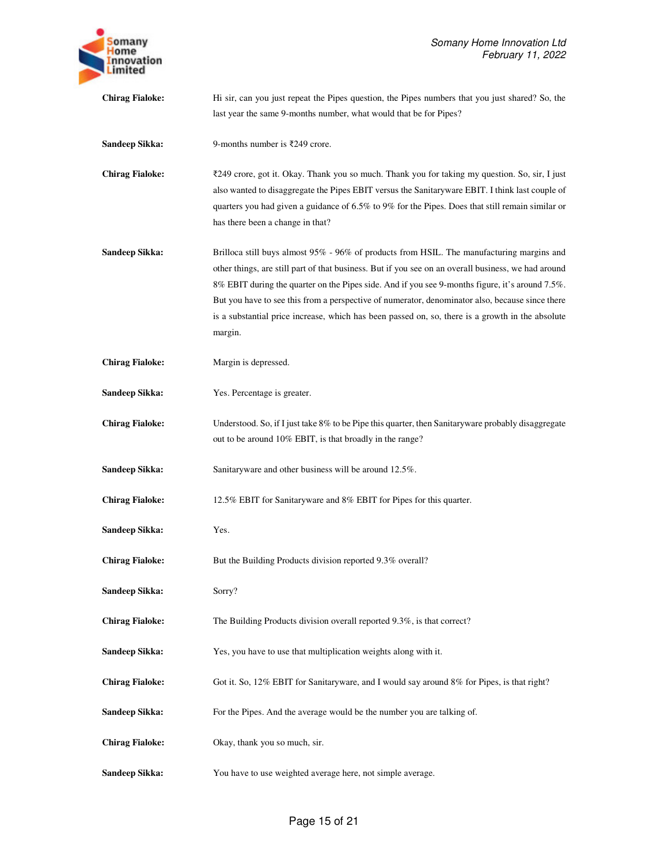| omany<br>ome<br><b>Innovation</b><br>imited |
|---------------------------------------------|
|---------------------------------------------|

**Chirag Fialoke:** Hi sir, can you just repeat the Pipes question, the Pipes numbers that you just shared? So, the last year the same 9-months number, what would that be for Pipes? **Sandeep Sikka:** 9-months number is ₹249 crore.

**Chirag Fialoke:** ₹249 crore, got it. Okay. Thank you so much. Thank you for taking my question. So, sir, I just also wanted to disaggregate the Pipes EBIT versus the Sanitaryware EBIT. I think last couple of quarters you had given a guidance of 6.5% to 9% for the Pipes. Does that still remain similar or has there been a change in that?

- **Sandeep Sikka:** Brilloca still buys almost 95% 96% of products from HSIL. The manufacturing margins and other things, are still part of that business. But if you see on an overall business, we had around 8% EBIT during the quarter on the Pipes side. And if you see 9-months figure, it's around 7.5%. But you have to see this from a perspective of numerator, denominator also, because since there is a substantial price increase, which has been passed on, so, there is a growth in the absolute margin.
- **Chirag Fialoke:** Margin is depressed.
- **Sandeep Sikka:** Yes. Percentage is greater.

**Chirag Fialoke:** Understood. So, if I just take 8% to be Pipe this quarter, then Sanitaryware probably disaggregate out to be around 10% EBIT, is that broadly in the range?

**Sandeep Sikka:** Sanitaryware and other business will be around 12.5%.

**Chirag Fialoke:** 12.5% EBIT for Sanitaryware and 8% EBIT for Pipes for this quarter.

- **Sandeep Sikka:** Yes.
- **Chirag Fialoke:** But the Building Products division reported 9.3% overall?
- Sandeep Sikka: Sorry?
- **Chirag Fialoke:** The Building Products division overall reported 9.3%, is that correct?
- **Sandeep Sikka:** Yes, you have to use that multiplication weights along with it.
- **Chirag Fialoke:** Got it. So, 12% EBIT for Sanitaryware, and I would say around 8% for Pipes, is that right?
- **Sandeep Sikka:** For the Pipes. And the average would be the number you are talking of.
- **Chirag Fialoke:** Okay, thank you so much, sir.
- **Sandeep Sikka:** You have to use weighted average here, not simple average.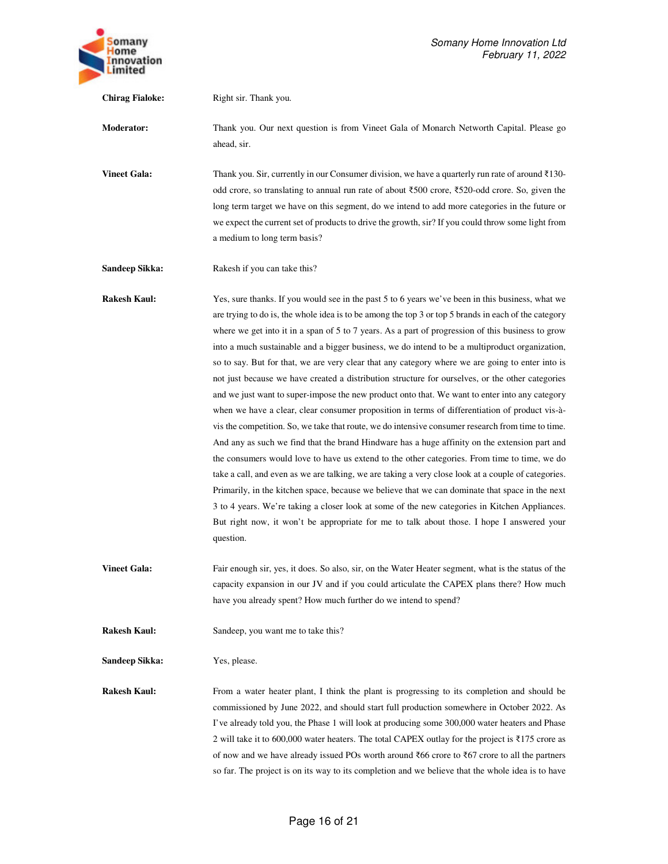

**Chirag Fialoke:** Right sir. Thank you. **Moderator:** Thank you. Our next question is from Vineet Gala of Monarch Networth Capital. Please go ahead, sir. **Vineet Gala:** Thank you. Sir, currently in our Consumer division, we have a quarterly run rate of around ₹130odd crore, so translating to annual run rate of about ₹500 crore, ₹520-odd crore. So, given the long term target we have on this segment, do we intend to add more categories in the future or we expect the current set of products to drive the growth, sir? If you could throw some light from a medium to long term basis? **Sandeep Sikka:** Rakesh if you can take this? **Rakesh Kaul:** Yes, sure thanks. If you would see in the past 5 to 6 years we've been in this business, what we are trying to do is, the whole idea is to be among the top 3 or top 5 brands in each of the category where we get into it in a span of 5 to 7 years. As a part of progression of this business to grow into a much sustainable and a bigger business, we do intend to be a multiproduct organization, so to say. But for that, we are very clear that any category where we are going to enter into is not just because we have created a distribution structure for ourselves, or the other categories and we just want to super-impose the new product onto that. We want to enter into any category when we have a clear, clear consumer proposition in terms of differentiation of product vis-àvis the competition. So, we take that route, we do intensive consumer research from time to time. And any as such we find that the brand Hindware has a huge affinity on the extension part and the consumers would love to have us extend to the other categories. From time to time, we do take a call, and even as we are talking, we are taking a very close look at a couple of categories. Primarily, in the kitchen space, because we believe that we can dominate that space in the next 3 to 4 years. We're taking a closer look at some of the new categories in Kitchen Appliances. But right now, it won't be appropriate for me to talk about those. I hope I answered your question. **Vineet Gala:** Fair enough sir, yes, it does. So also, sir, on the Water Heater segment, what is the status of the capacity expansion in our JV and if you could articulate the CAPEX plans there? How much have you already spent? How much further do we intend to spend? **Rakesh Kaul:** Sandeep, you want me to take this?

**Sandeep Sikka:** Yes, please.

**Rakesh Kaul:** From a water heater plant, I think the plant is progressing to its completion and should be commissioned by June 2022, and should start full production somewhere in October 2022. As I've already told you, the Phase 1 will look at producing some 300,000 water heaters and Phase 2 will take it to 600,000 water heaters. The total CAPEX outlay for the project is ₹175 crore as of now and we have already issued POs worth around ₹66 crore to ₹67 crore to all the partners so far. The project is on its way to its completion and we believe that the whole idea is to have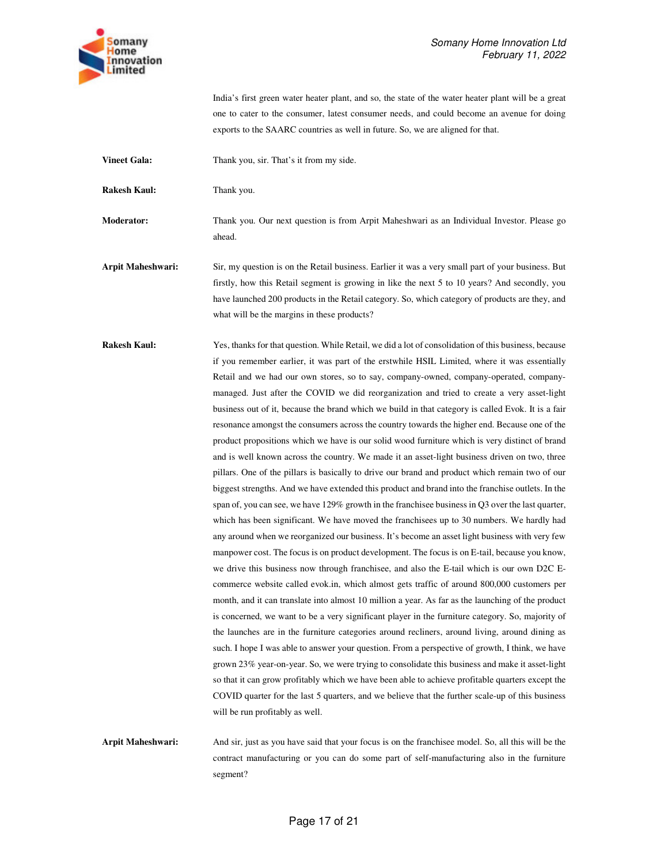

India's first green water heater plant, and so, the state of the water heater plant will be a great one to cater to the consumer, latest consumer needs, and could become an avenue for doing exports to the SAARC countries as well in future. So, we are aligned for that.

**Vineet Gala:** Thank you, sir. That's it from my side.

**Rakesh Kaul:** Thank you.

**Moderator:** Thank you. Our next question is from Arpit Maheshwari as an Individual Investor. Please go ahead.

**Arpit Maheshwari:** Sir, my question is on the Retail business. Earlier it was a very small part of your business. But firstly, how this Retail segment is growing in like the next 5 to 10 years? And secondly, you have launched 200 products in the Retail category. So, which category of products are they, and what will be the margins in these products?

**Rakesh Kaul:** Yes, thanks for that question. While Retail, we did a lot of consolidation of this business, because if you remember earlier, it was part of the erstwhile HSIL Limited, where it was essentially Retail and we had our own stores, so to say, company-owned, company-operated, companymanaged. Just after the COVID we did reorganization and tried to create a very asset-light business out of it, because the brand which we build in that category is called Evok. It is a fair resonance amongst the consumers across the country towards the higher end. Because one of the product propositions which we have is our solid wood furniture which is very distinct of brand and is well known across the country. We made it an asset-light business driven on two, three pillars. One of the pillars is basically to drive our brand and product which remain two of our biggest strengths. And we have extended this product and brand into the franchise outlets. In the span of, you can see, we have 129% growth in the franchisee business in Q3 over the last quarter, which has been significant. We have moved the franchisees up to 30 numbers. We hardly had any around when we reorganized our business. It's become an asset light business with very few manpower cost. The focus is on product development. The focus is on E-tail, because you know, we drive this business now through franchisee, and also the E-tail which is our own D2C Ecommerce website called evok.in, which almost gets traffic of around 800,000 customers per month, and it can translate into almost 10 million a year. As far as the launching of the product is concerned, we want to be a very significant player in the furniture category. So, majority of the launches are in the furniture categories around recliners, around living, around dining as such. I hope I was able to answer your question. From a perspective of growth, I think, we have grown 23% year-on-year. So, we were trying to consolidate this business and make it asset-light so that it can grow profitably which we have been able to achieve profitable quarters except the COVID quarter for the last 5 quarters, and we believe that the further scale-up of this business will be run profitably as well.

**Arpit Maheshwari:** And sir, just as you have said that your focus is on the franchisee model. So, all this will be the contract manufacturing or you can do some part of self-manufacturing also in the furniture segment?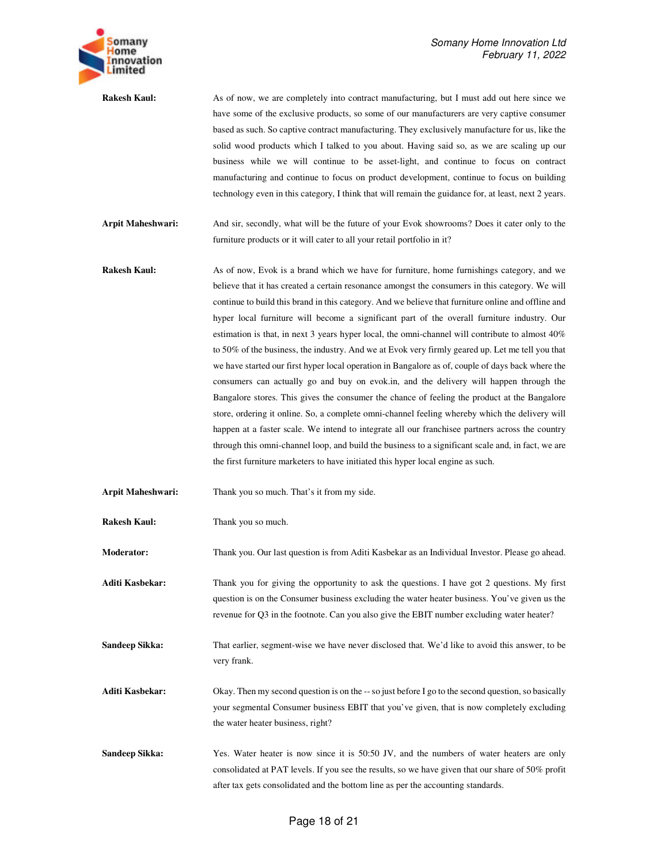

**Rakesh Kaul:** As of now, we are completely into contract manufacturing, but I must add out here since we have some of the exclusive products, so some of our manufacturers are very captive consumer based as such. So captive contract manufacturing. They exclusively manufacture for us, like the solid wood products which I talked to you about. Having said so, as we are scaling up our business while we will continue to be asset-light, and continue to focus on contract manufacturing and continue to focus on product development, continue to focus on building technology even in this category, I think that will remain the guidance for, at least, next 2 years.

**Arpit Maheshwari:** And sir, secondly, what will be the future of your Evok showrooms? Does it cater only to the furniture products or it will cater to all your retail portfolio in it?

- **Rakesh Kaul:** As of now, Evok is a brand which we have for furniture, home furnishings category, and we believe that it has created a certain resonance amongst the consumers in this category. We will continue to build this brand in this category. And we believe that furniture online and offline and hyper local furniture will become a significant part of the overall furniture industry. Our estimation is that, in next 3 years hyper local, the omni-channel will contribute to almost 40% to 50% of the business, the industry. And we at Evok very firmly geared up. Let me tell you that we have started our first hyper local operation in Bangalore as of, couple of days back where the consumers can actually go and buy on evok.in, and the delivery will happen through the Bangalore stores. This gives the consumer the chance of feeling the product at the Bangalore store, ordering it online. So, a complete omni-channel feeling whereby which the delivery will happen at a faster scale. We intend to integrate all our franchisee partners across the country through this omni-channel loop, and build the business to a significant scale and, in fact, we are the first furniture marketers to have initiated this hyper local engine as such.
- **Arpit Maheshwari:** Thank you so much. That's it from my side.

**Rakesh Kaul:** Thank you so much.

**Moderator:** Thank you. Our last question is from Aditi Kasbekar as an Individual Investor. Please go ahead.

**Aditi Kasbekar:** Thank you for giving the opportunity to ask the questions. I have got 2 questions. My first question is on the Consumer business excluding the water heater business. You've given us the revenue for Q3 in the footnote. Can you also give the EBIT number excluding water heater?

**Sandeep Sikka:** That earlier, segment-wise we have never disclosed that. We'd like to avoid this answer, to be very frank.

**Aditi Kasbekar:** Okay. Then my second question is on the -- so just before I go to the second question, so basically your segmental Consumer business EBIT that you've given, that is now completely excluding the water heater business, right?

**Sandeep Sikka:** Yes. Water heater is now since it is 50:50 JV, and the numbers of water heaters are only consolidated at PAT levels. If you see the results, so we have given that our share of 50% profit after tax gets consolidated and the bottom line as per the accounting standards.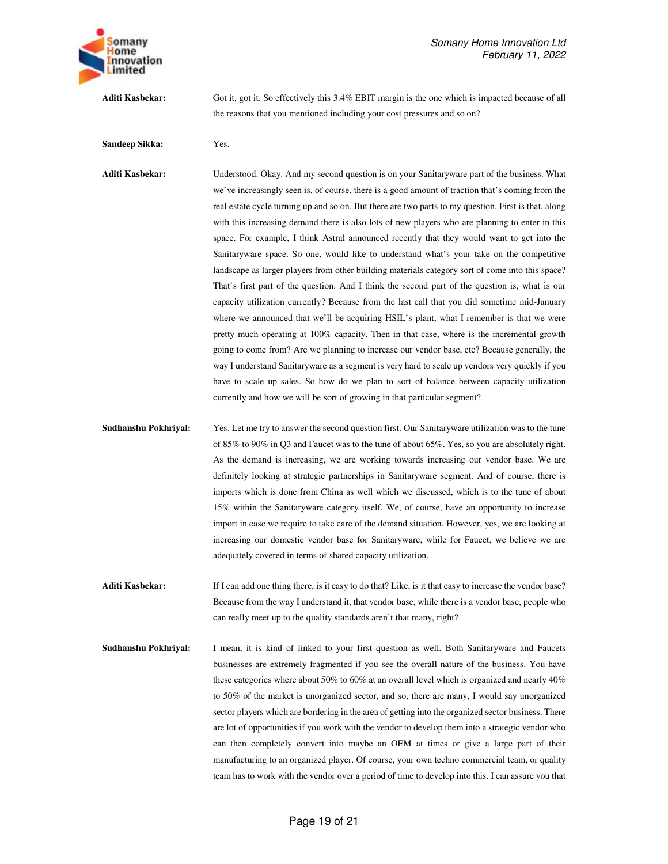

**Aditi Kasbekar:** Got it, got it. So effectively this 3.4% EBIT margin is the one which is impacted because of all the reasons that you mentioned including your cost pressures and so on?

## **Sandeep Sikka:** Yes.

**Aditi Kasbekar:** Understood. Okay. And my second question is on your Sanitaryware part of the business. What we've increasingly seen is, of course, there is a good amount of traction that's coming from the real estate cycle turning up and so on. But there are two parts to my question. First is that, along with this increasing demand there is also lots of new players who are planning to enter in this space. For example, I think Astral announced recently that they would want to get into the Sanitaryware space. So one, would like to understand what's your take on the competitive landscape as larger players from other building materials category sort of come into this space? That's first part of the question. And I think the second part of the question is, what is our capacity utilization currently? Because from the last call that you did sometime mid-January where we announced that we'll be acquiring HSIL's plant, what I remember is that we were pretty much operating at 100% capacity. Then in that case, where is the incremental growth going to come from? Are we planning to increase our vendor base, etc? Because generally, the way I understand Sanitaryware as a segment is very hard to scale up vendors very quickly if you have to scale up sales. So how do we plan to sort of balance between capacity utilization currently and how we will be sort of growing in that particular segment?

- **Sudhanshu Pokhriyal:** Yes. Let me try to answer the second question first. Our Sanitaryware utilization was to the tune of 85% to 90% in Q3 and Faucet was to the tune of about 65%. Yes, so you are absolutely right. As the demand is increasing, we are working towards increasing our vendor base. We are definitely looking at strategic partnerships in Sanitaryware segment. And of course, there is imports which is done from China as well which we discussed, which is to the tune of about 15% within the Sanitaryware category itself. We, of course, have an opportunity to increase import in case we require to take care of the demand situation. However, yes, we are looking at increasing our domestic vendor base for Sanitaryware, while for Faucet, we believe we are adequately covered in terms of shared capacity utilization.
- Aditi Kasbekar: If I can add one thing there, is it easy to do that? Like, is it that easy to increase the vendor base? Because from the way I understand it, that vendor base, while there is a vendor base, people who can really meet up to the quality standards aren't that many, right?
- **Sudhanshu Pokhriyal:** I mean, it is kind of linked to your first question as well. Both Sanitaryware and Faucets businesses are extremely fragmented if you see the overall nature of the business. You have these categories where about 50% to 60% at an overall level which is organized and nearly 40% to 50% of the market is unorganized sector, and so, there are many, I would say unorganized sector players which are bordering in the area of getting into the organized sector business. There are lot of opportunities if you work with the vendor to develop them into a strategic vendor who can then completely convert into maybe an OEM at times or give a large part of their manufacturing to an organized player. Of course, your own techno commercial team, or quality team has to work with the vendor over a period of time to develop into this. I can assure you that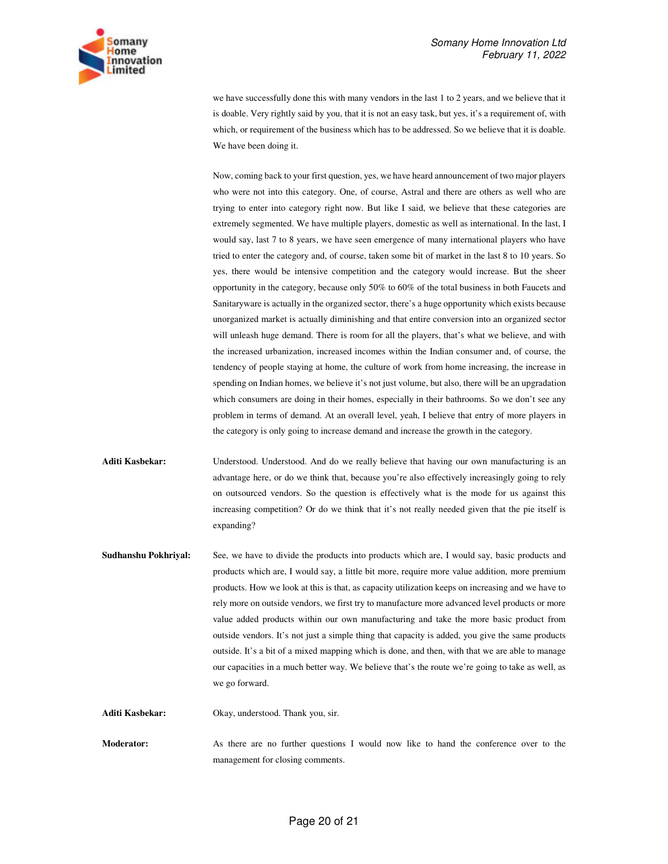

we have successfully done this with many vendors in the last 1 to 2 years, and we believe that it is doable. Very rightly said by you, that it is not an easy task, but yes, it's a requirement of, with which, or requirement of the business which has to be addressed. So we believe that it is doable. We have been doing it.

Now, coming back to your first question, yes, we have heard announcement of two major players who were not into this category. One, of course, Astral and there are others as well who are trying to enter into category right now. But like I said, we believe that these categories are extremely segmented. We have multiple players, domestic as well as international. In the last, I would say, last 7 to 8 years, we have seen emergence of many international players who have tried to enter the category and, of course, taken some bit of market in the last 8 to 10 years. So yes, there would be intensive competition and the category would increase. But the sheer opportunity in the category, because only 50% to 60% of the total business in both Faucets and Sanitaryware is actually in the organized sector, there's a huge opportunity which exists because unorganized market is actually diminishing and that entire conversion into an organized sector will unleash huge demand. There is room for all the players, that's what we believe, and with the increased urbanization, increased incomes within the Indian consumer and, of course, the tendency of people staying at home, the culture of work from home increasing, the increase in spending on Indian homes, we believe it's not just volume, but also, there will be an upgradation which consumers are doing in their homes, especially in their bathrooms. So we don't see any problem in terms of demand. At an overall level, yeah, I believe that entry of more players in the category is only going to increase demand and increase the growth in the category.

- **Aditi Kasbekar:** Understood. Understood. And do we really believe that having our own manufacturing is an advantage here, or do we think that, because you're also effectively increasingly going to rely on outsourced vendors. So the question is effectively what is the mode for us against this increasing competition? Or do we think that it's not really needed given that the pie itself is expanding?
- **Sudhanshu Pokhriyal:** See, we have to divide the products into products which are, I would say, basic products and products which are, I would say, a little bit more, require more value addition, more premium products. How we look at this is that, as capacity utilization keeps on increasing and we have to rely more on outside vendors, we first try to manufacture more advanced level products or more value added products within our own manufacturing and take the more basic product from outside vendors. It's not just a simple thing that capacity is added, you give the same products outside. It's a bit of a mixed mapping which is done, and then, with that we are able to manage our capacities in a much better way. We believe that's the route we're going to take as well, as we go forward.

**Aditi Kasbekar:** Okay, understood. Thank you, sir.

**Moderator:** As there are no further questions I would now like to hand the conference over to the management for closing comments.